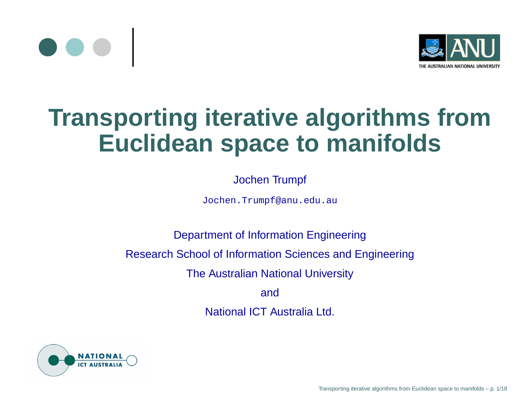



### **Transporting iterative algorithms fromEuclidean space to manifolds**

#### Jochen Trumpf

Jochen.Trumpf@anu.edu.au

Department of Information EngineeringResearch School of Information Sciences and EngineeringThe Australian National UniversityandNational ICT Australia Ltd.

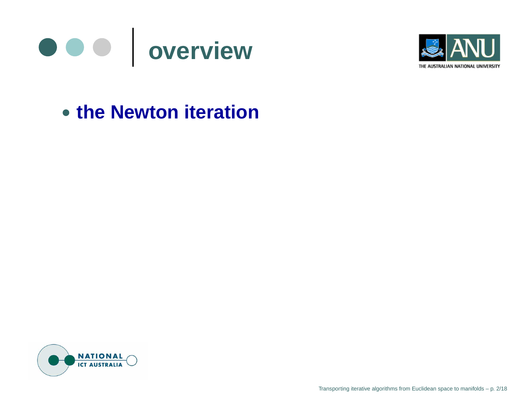



### **the Newton iteration**



Transporting iterative algorithms from Euclidean space to manifolds – p. 2/18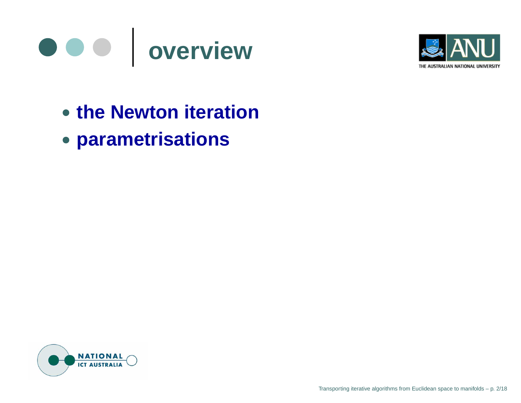



- **the Newton iteration**
- **parametrisations**

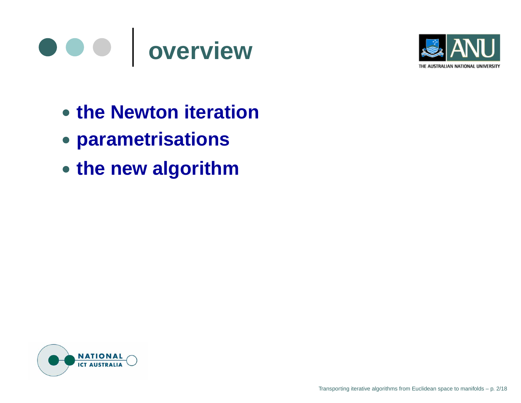



- **the Newton iteration**
- **parametrisations**
- **the new algorithm**

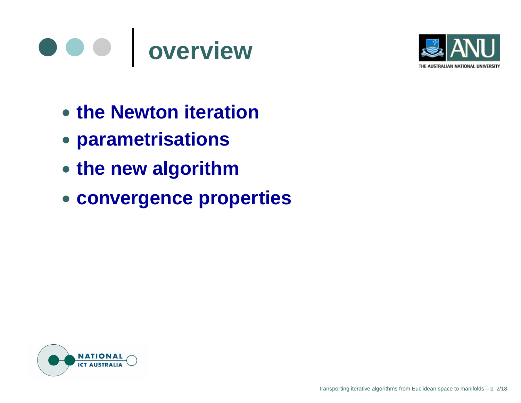



- **the Newton iteration**
- **parametrisations**
- **the new algorithm**
- **convergence properties**

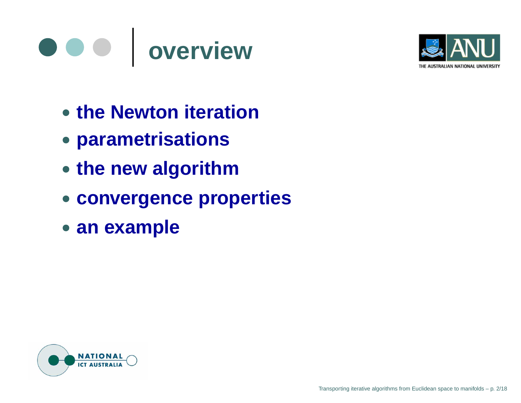



- **the Newton iteration**
- **parametrisations**
- **the new algorithm**
- **convergence properties**
- **an example**

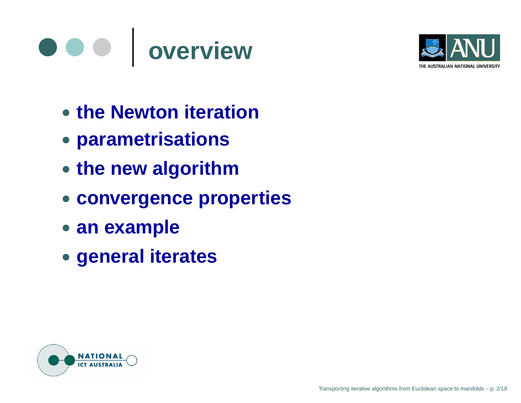



- **the Newton iteration**
- **parametrisations**
- **the new algorithm**
- **convergence properties**
- **an example**
- **general iterates**

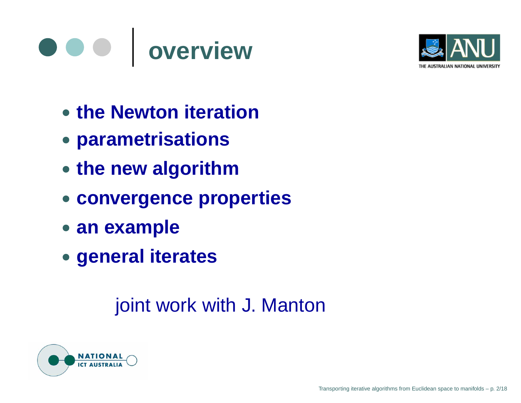



- **the Newton iteration**
- **parametrisations**
- **the new algorithm**
- **convergence properties**
- **an example**
- **general iterates**

joint work with J. Manton

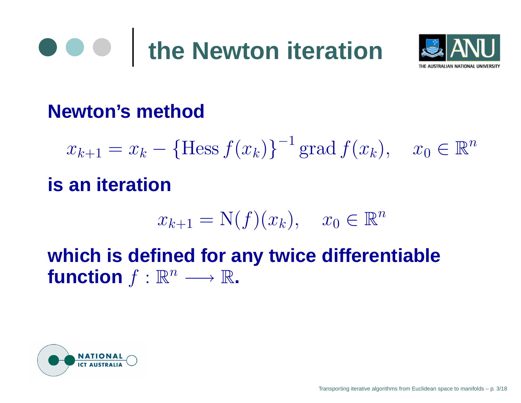# **the Newton iteration**



### **Newton's method**

 $x_{k+1}=x_k$  $k - {\text{Hess } f(x_k)}^{-1}$ <sup>1</sup> grad  $f(x_k)$ ,  $x_0 \in \mathbb{R}^n$ 

### **is an iteration**

$$
x_{k+1} = \mathcal{N}(f)(x_k), \quad x_0 \in \mathbb{R}^n
$$

**which is defined for any twice differentiable** $f$ **unction**  $f : \mathbb{R}^n \longrightarrow \mathbb{R}$ .

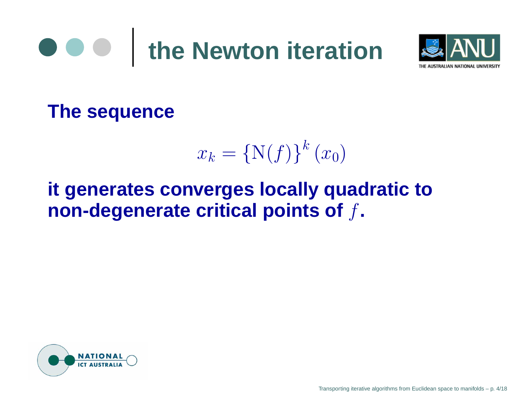



**The sequence**

$$
x_k = \{\mathcal{N}(f)\}^k(x_0)
$$

### **it generates converges locally quadratic tonon-degenerate critical points of**f**.**

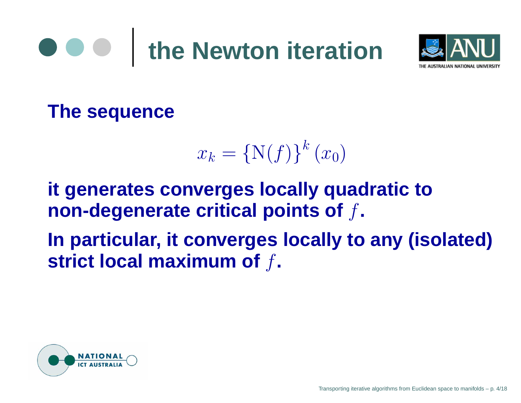# **the Newton iteration**



**The sequence**

$$
x_k = \{\mathcal{N}(f)\}^k(x_0)
$$

**it generates converges locally quadratic tonon-degenerate critical points of**f**.**

**In particular, it converges locally to any (isolated)strict local maximum of**f**.**

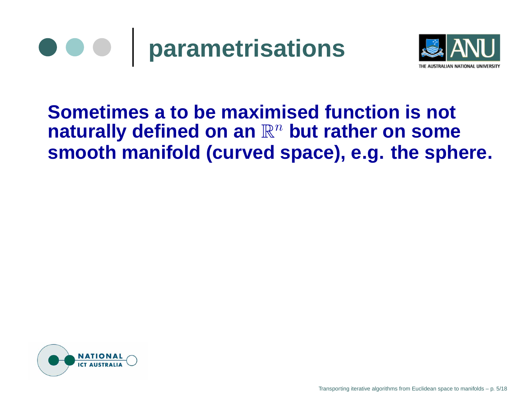



#### **Sometimes <sup>a</sup> to be maximised function is not** ${\bf a}$  raturally defined on an  $\mathbb{R}^n$  but rather on some **smooth manifold (curved space), e.g. the sphere.**



Transporting iterative algorithms from Euclidean space to manifolds – p. 5/18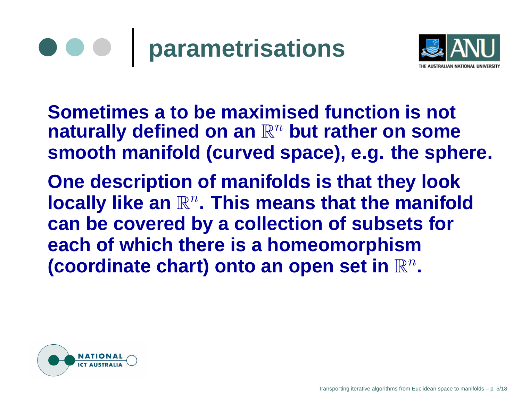



**Sometimes <sup>a</sup> to be maximised function is not** ${\bf a}$  raturally defined on an  $\mathbb{R}^n$  but rather on some **smooth manifold (curved space), e.g. the sphere.**

**One description of manifolds is that they looklocally like an**  $\mathbb{R}^n$ **. This means that the manifold PARTIES can be covered by <sup>a</sup> collection of subsets foreach of which there is <sup>a</sup> homeomorphism**(coordinate chart) onto an open set in  $\mathbb{R}^n$ **.**

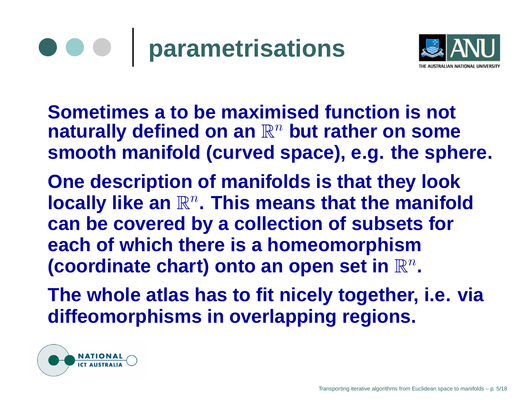



**Sometimes <sup>a</sup> to be maximised function is not** ${\bf a}$  raturally defined on an  $\mathbb{R}^n$  but rather on some **smooth manifold (curved space), e.g. the sphere.**

**One description of manifolds is that they looklocally like an**  $\mathbb{R}^n$ **. This means that the manifold PARTIES can be covered by <sup>a</sup> collection of subsets foreach of which there is <sup>a</sup> homeomorphism**(coordinate chart) onto an open set in  $\mathbb{R}^n$ **.**

**The whole atlas has to fit nicely together, i.e. viadiffeomorphisms in overlapping regions.**

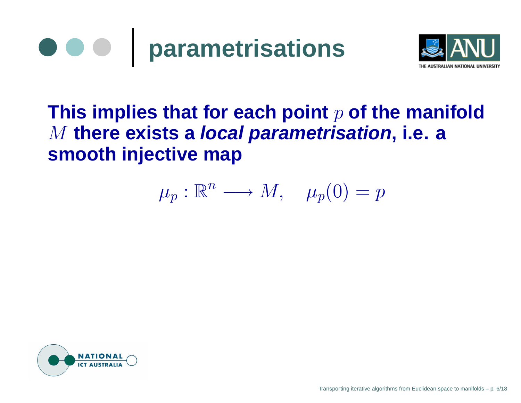



### **This implies that for each point**p **of the manifold** M **there exists <sup>a</sup> local parametrisation, i.e. <sup>a</sup> smooth injective map**

$$
\mu_p : \mathbb{R}^n \longrightarrow M, \quad \mu_p(0) = p
$$

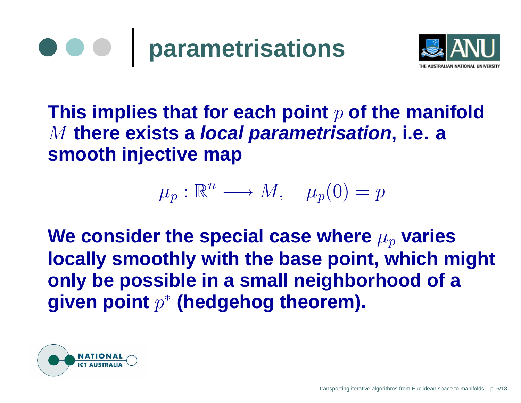



**This implies that for each point**p **of the manifold** M **there exists <sup>a</sup> local parametrisation, i.e. <sup>a</sup> smooth injective map**

$$
\mu_p : \mathbb{R}^n \longrightarrow M, \quad \mu_p(0) = p
$$

We consider the special case where  $\mu_p$  varies **locally smoothly with the base point, which mightonly be possible in <sup>a</sup> small neighborhood of <sup>a</sup>given point**p∗ **(hedgehog theorem).**

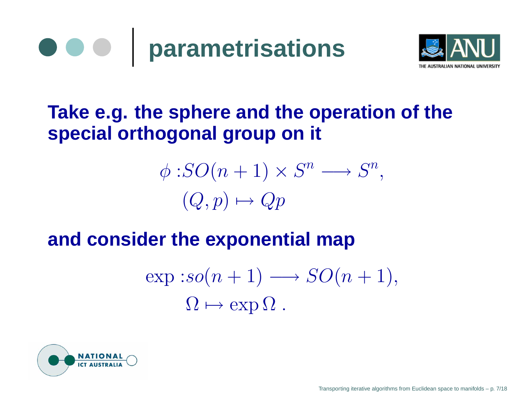



### **Take e.g. the sphere and the operation of thespecial orthogonal group on it**

$$
\phi: SO(n+1) \times S^n \longrightarrow S^n,
$$
  

$$
(Q, p) \mapsto Qp
$$

#### **and consider the exponential map**

$$
\exp : so(n + 1) \longrightarrow SO(n + 1),
$$
  

$$
\Omega \mapsto \exp \Omega .
$$

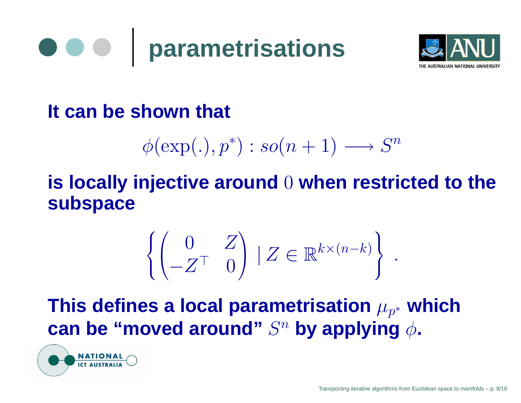



### **It can be shown that**

$$
\phi(\exp(.), p^*): so(n + 1) \longrightarrow S^n
$$

### **is locally injective around**0 **when restricted to thesubspace**

$$
\left\{ \begin{pmatrix} 0 & Z \\ -Z^{\top} & 0 \end{pmatrix} \mid Z \in \mathbb{R}^{k \times (n-k)} \right\}.
$$

**This defines <sup>a</sup> local parametrisation**µp∗ $\boldsymbol{\mathsf{can}}$  be "moved around"  $S^n$  by applying  $\phi$ . **which**

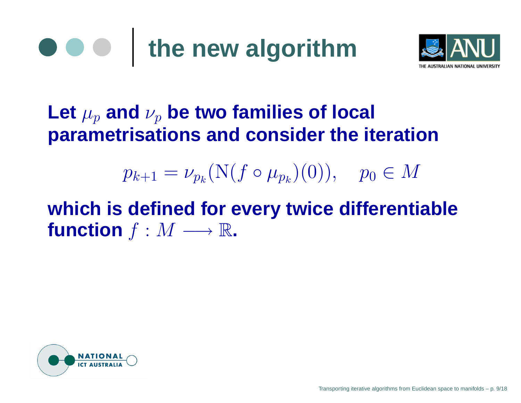



### $\boldsymbol{\mathsf{Let}}~\mu_{p}$  and  $\nu_{p}$  be two families of local **parametrisations and consider the iteration**

#### $p_{k+1}=\nu_{p_k}$  $_{k}({\rm N}(f \circ \mu_{p_{k}}% ^{p_{k}}),\mu_{p_{k}}^{p_{k}}))$  $_p)(0)), \quad p_0$  $_0\in M$

### **which is defined for every twice differentiable**function  $f : M \longrightarrow \mathbb{R}$ .

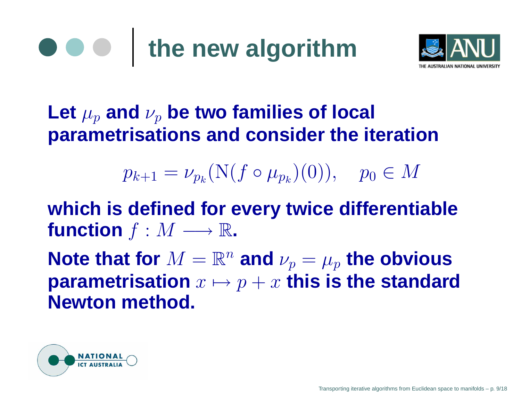

### $\boldsymbol{\mathsf{Let}}~\mu_{p}$  and  $\nu_{p}$  be two families of local **parametrisations and consider the iteration**

 $p_{k+1}=\nu_{p_k}$  $_{k}({\rm N}(f \circ \mu_{p_{k}}% ^{p_{k}}),\mu_{p_{k}}^{p_{k}}))$  $_p)(0)), \quad p_0$  $_0\in M$ 

**which is defined for every twice differentiable** $\mathbf{function}\;f:M\longrightarrow\mathbb{R}\text{.}$ 

 $\boldsymbol{\mathsf{Note}}$  that for  $M=\mathbb{R}^n$  and  $\nu_p=\mu_p$  the obvious  $\mathbf{p}$  arametrisation  $x\mapsto p+x$  this is the standard **Newton method.**

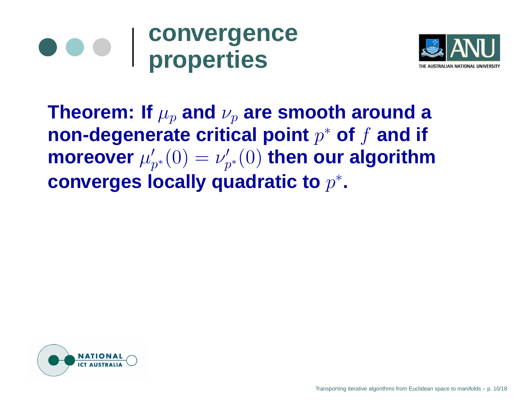



 **Theorem: If**  $\mu_p$  and  $\nu_p$  are smooth around a **non-degenerate critical point** <sup>p</sup><sup>∗</sup> **of** f **and if**  $\bm{w}'_{p^*}(0) = \nu'_{p^*}(0)$  then our algorithm **converges locally quadratic to** <sup>p</sup><sup>∗</sup>**.**

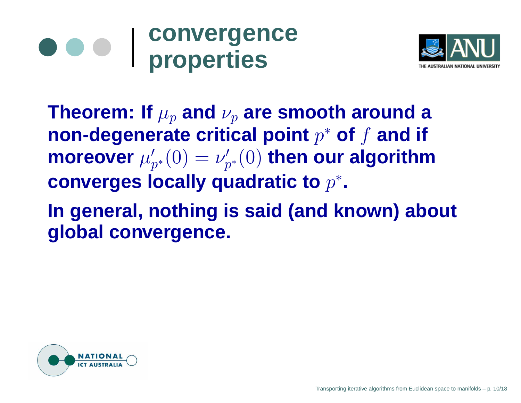### **convergenceproperties**



 **Theorem: If**  $\mu_p$  and  $\nu_p$  are smooth around a **non-degenerate critical point** <sup>p</sup><sup>∗</sup> **of** f **and if**  $\bm{w}'_{p^*}(0) = \nu'_{p^*}(0)$  then our algorithm **converges locally quadratic to** <sup>p</sup><sup>∗</sup>**.**

**In general, nothing is said (and known) aboutglobal convergence.**

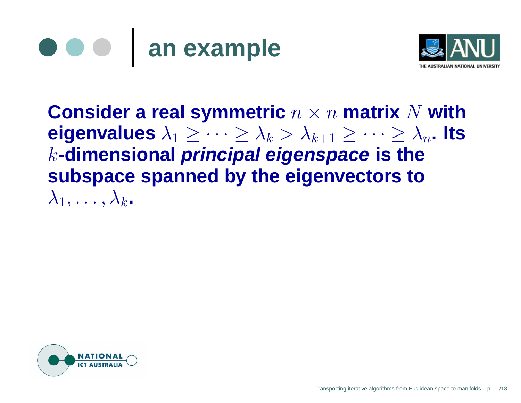



**Consider <sup>a</sup> real symmetric** $\mathbf{c}$   $n \times n$  **matrix**  $N$  with<br> $\leq \mathbf{c}$  $\mathsf{eigenvalues}\ \lambda_1 \geq \cdots \geq \lambda_k > \lambda_{k+1} \geq \cdots \geq \lambda_n.$  Its<br>Latimonsional principal oigonspace is the k**-dimensional principal eigenspace is the subspace spanned by the eigenvectors to** $\lambda_1, \ldots, \lambda_k$ .

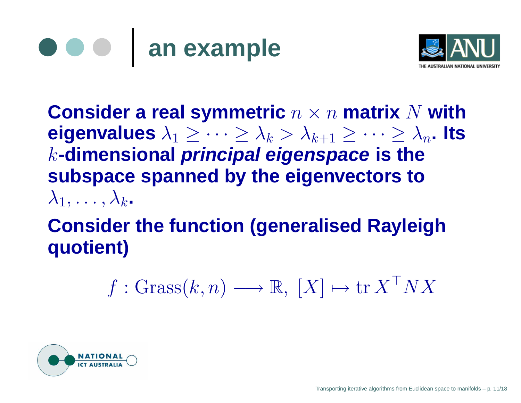



**Consider <sup>a</sup> real symmetric** $\mathbf{c}$   $n \times n$  **matrix**  $N$  with<br> $\leq \mathbf{c}$  $\mathsf{eigenvalues}\ \lambda_1 \geq \cdots \geq \lambda_k > \lambda_{k+1} \geq \cdots \geq \lambda_n.$  Its<br>Latimonsional principal oigonspace is the k**-dimensional principal eigenspace is the subspace spanned by the eigenvectors to** $\lambda_1, \ldots, \lambda_k$ .

### **Consider the function (generalised Rayleighquotient)**

$$
f: \text{Grass}(k, n) \longrightarrow \mathbb{R}, [X] \mapsto \text{tr } X^{\top} N X
$$

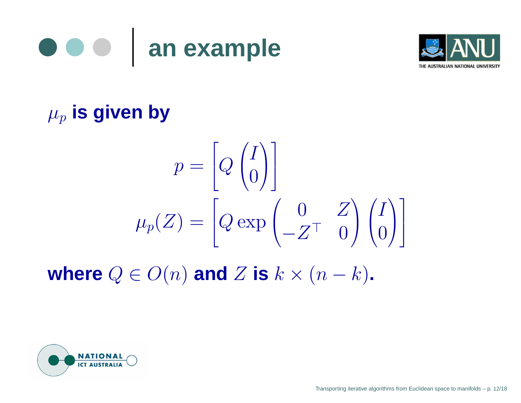



### $\mu_p$  is given by

$$
p = \begin{bmatrix} Q \begin{pmatrix} I \\ 0 \end{pmatrix} \end{bmatrix}
$$

$$
\mu_p(Z) = \begin{bmatrix} Q \exp \begin{pmatrix} 0 & Z \\ -Z^T & 0 \end{pmatrix} \begin{pmatrix} I \\ 0 \end{pmatrix} \end{bmatrix}
$$

**where**  $Q \in O(n)$  and  $Z$  is  $k \times (n - k)$ .

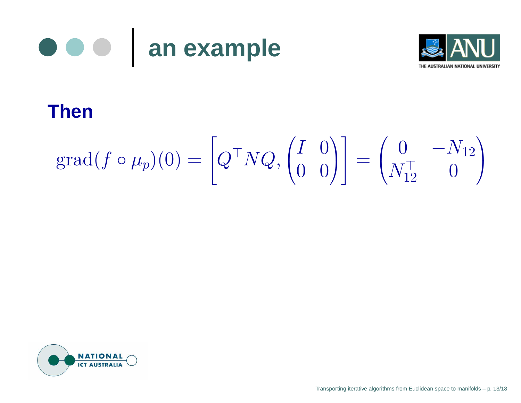



#### **Then**

$$
\text{grad}(f \circ \mu_p)(0) = \left[Q^\top N Q, \begin{pmatrix} I & 0 \\ 0 & 0 \end{pmatrix}\right] = \begin{pmatrix} 0 & -N_{12} \\ N_{12}^\top & 0 \end{pmatrix}
$$

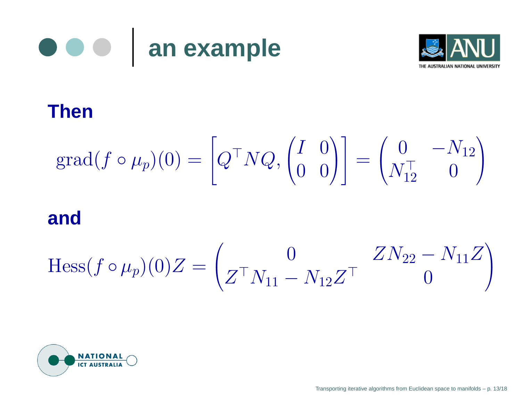



#### **Then**

$$
\text{grad}(f \circ \mu_p)(0) = \left[Q^\top N Q, \begin{pmatrix} I & 0 \\ 0 & 0 \end{pmatrix}\right] = \begin{pmatrix} 0 & -N_{12} \\ N_{12}^\top & 0 \end{pmatrix}
$$

#### **and**

$$
\text{Hess}(f \circ \mu_p)(0)Z = \begin{pmatrix} 0 & ZN_{22} - N_{11}Z \\ Z^\top N_{11} - N_{12}Z^\top & 0 \end{pmatrix}
$$

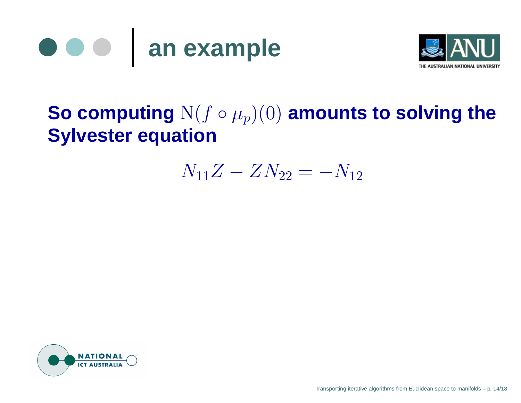



### ${\bf So\; computing\; N}(f\circ \mu_p)(0)$  amounts to solving the **Sylvester equation**

#### $N_{11}Z$  $Z - ZN_{22} = -N_{12}$



Transporting iterative algorithms from Euclidean space to manifolds – p. 14/18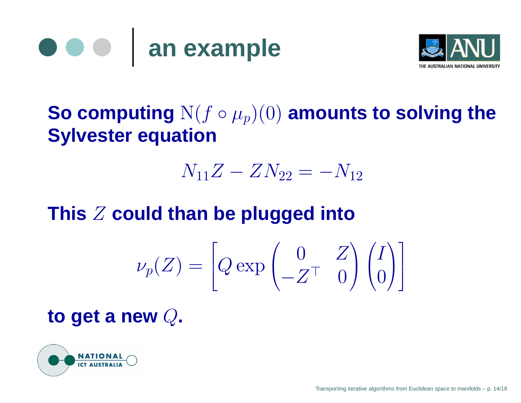



### ${\bf So\; computing\; N}(f\circ \mu_p)(0)$  amounts to solving the **Sylvester equation**

$$
N_{11}Z - ZN_{22} = -N_{12}
$$

### **This** <sup>Z</sup> **could than be plugged into**

$$
\nu_p(Z) = \left[Q \exp \begin{pmatrix} 0 & Z \\ -Z^\top & 0 \end{pmatrix} \begin{pmatrix} I \\ 0 \end{pmatrix} \right]
$$

### **to get <sup>a</sup> new** <sup>Q</sup>**.**

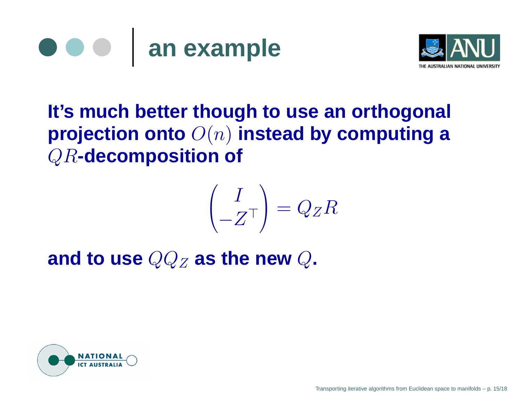



### **It's much better though to use an orthogonal projection onto** <sup>O</sup>(n) **instead by computing <sup>a</sup>** QR**-decomposition of**

$$
\begin{pmatrix} I \\ -Z^T \end{pmatrix} = Q_Z R
$$

and to use  $QQ_Z$  as the new  $Q$ .

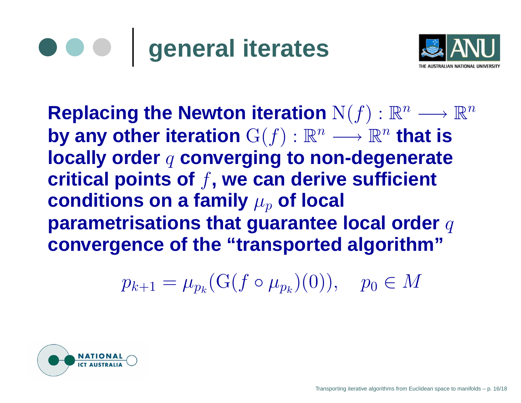# **general iterates**



 $\textbf{Replacing the Newton iteration} \ \mathrm{N}(f): \mathbb{R}^n \longrightarrow \mathbb{R}^n.$  $\mathbf{b}$ **y** any other iteration  $\mathrm{G}(f): \mathbb{R}^n \longrightarrow \mathbb{R}^n$  that is **locally** order  $q$  converging to non-degenerate **critical points of**f**, we can derive sufficient** ${\bf c}$  onditions on a family  $\mu_p$  of local **parametrisations that guarantee local order**  $q$ **convergence of the "transported algorithm"**

> $p_{k+1}=\mu_{p_k}$  $_{k}(\mathrm{G}(\mathcal{f} \circ \mu_{p_{k}}% ,\mathcal{F}_{k}))=\mu_{p_{k}}(\mathcal{G}(\mathcal{f} \circ \mathcal{G} \circ \mathcal{G} \circ \mathcal{G} \circ \mathcal{G} \circ \mathcal{G} \circ \mathcal{G} \circ \mathcal{G} \circ \mathcal{G} \circ \mathcal{G} \circ \mathcal{G} \circ \mathcal{G} \circ \mathcal{G} \circ \mathcal{G} \circ \mathcal{G} \circ \mathcal{G} \circ \mathcal{G} \circ \mathcal{G} \circ \mathcal{G} \circ \mathcal{G} \circ \mathcal{G} \circ \mathcal{G}$  $_p)(0)), \quad p_0$  $_0\in M$

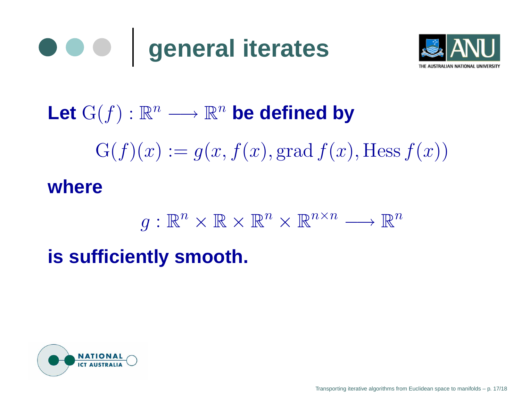



## $\mathsf{Let} \; \mathrm{G}(f) : \mathbb{R}^n \longrightarrow \mathbb{R}^n$  be defined by  $\mathrm{G}(f)(x):=g(x,f(x),\mathrm{grad}\, f(x),\mathrm{Hess}\, f(x))$ **where**

$$
g: \mathbb{R}^n \times \mathbb{R} \times \mathbb{R}^n \times \mathbb{R}^{n \times n} \longrightarrow \mathbb{R}^n
$$

**is sufficiently smooth.**

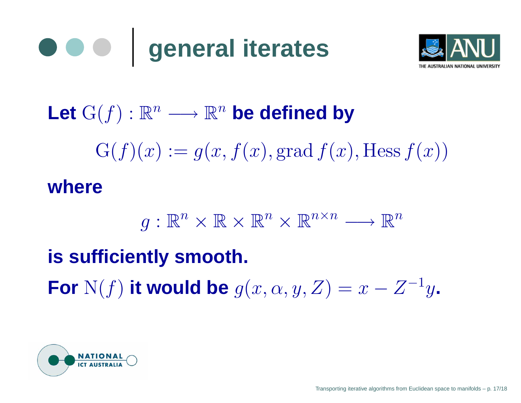



## $\mathsf{Let} \; \mathrm{G}(f) : \mathbb{R}^n \longrightarrow \mathbb{R}^n$  be defined by  $\mathrm{G}(f)(x):=g(x,f(x),\mathrm{grad}\, f(x),\mathrm{Hess}\, f(x))$ **where**

$$
g: \mathbb{R}^n \times \mathbb{R} \times \mathbb{R}^n \times \mathbb{R}^{n \times n} \longrightarrow \mathbb{R}^n
$$

### **is sufficiently smooth.**

For  $N(f)$  it would be  $g(x, \alpha, y, Z) =$  $x-Z^{-1}$ y**.**

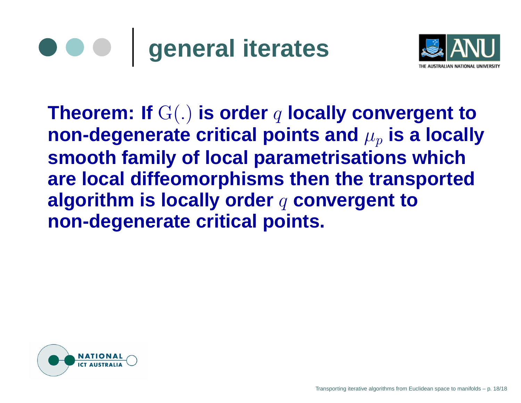



**Theorem: If** G(.) **is order** q **locally convergent to**<code>non-degenerate</code> critical points and  $\mu_p$  is a locally **smooth family of local parametrisations which are local diffeomorphisms then the transportedalgorithm is locally order**q **convergent tonon-degenerate critical points.**

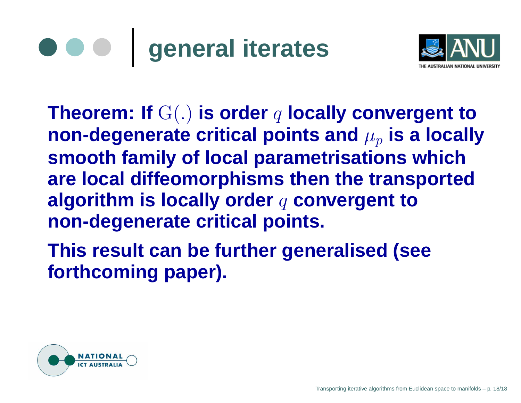## **general iterates**



**Theorem: If** G(.) **is order** q **locally convergent to**<code>non-degenerate</code> critical points and  $\mu_p$  is a locally **smooth family of local parametrisations which are local diffeomorphisms then the transportedalgorithm is locally order**q **convergent tonon-degenerate critical points.**

**This result can be further generalised (seeforthcoming** paper).